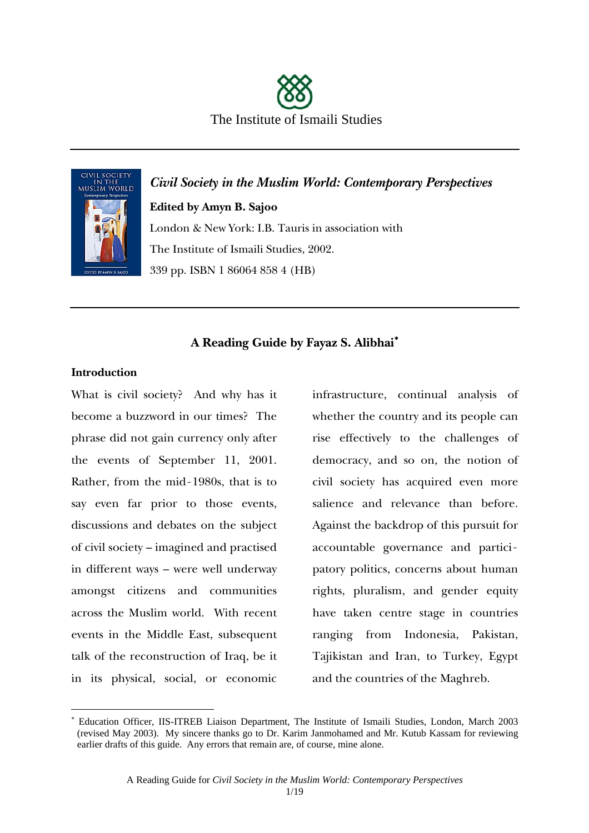



*Civil Society in the Muslim World: Contemporary Perspectives*  **Edited by Amyn B. Sajoo**  London & New York: I.B. Tauris in association with The Institute of Ismaili Studies, 2002. 339 pp. ISBN 1 86064 858 4 (HB)

### **A Reading Guide by Fayaz S. Alibhai**<sup>∗</sup>

#### **Introduction**

 $\overline{a}$ 

What is civil society? And why has it become a buzzword in our times? The phrase did not gain currency only after the events of September 11, 2001. Rather, from the mid-1980s, that is to say even far prior to those events, discussions and debates on the subject of civil society – imagined and practised in different ways – were well underway amongst citizens and communities across the Muslim world. With recent events in the Middle East, subsequent talk of the reconstruction of Iraq, be it in its physical, social, or economic

infrastructure, continual analysis of whether the country and its people can rise effectively to the challenges of democracy, and so on, the notion of civil society has acquired even more salience and relevance than before. Against the backdrop of this pursuit for accountable governance and participatory politics, concerns about human rights, pluralism, and gender equity have taken centre stage in countries ranging from Indonesia, Pakistan, Tajikistan and Iran, to Turkey, Egypt and the countries of the Maghreb.

<sup>∗</sup> Education Officer, IIS-ITREB Liaison Department, The Institute of Ismaili Studies, London, March 2003 (revised May 2003). My sincere thanks go to Dr. Karim Janmohamed and Mr. Kutub Kassam for reviewing earlier drafts of this guide. Any errors that remain are, of course, mine alone.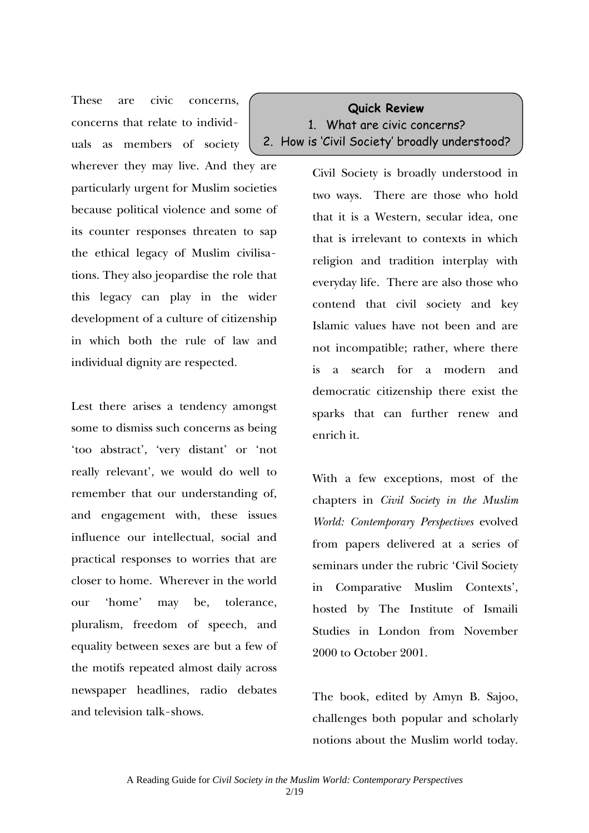These are civic concerns, concerns that relate to individuals as members of society wherever they may live. And they are particularly urgent for Muslim societies because political violence and some of its counter responses threaten to sap the ethical legacy of Muslim civilisations. They also jeopardise the role that this legacy can play in the wider development of a culture of citizenship in which both the rule of law and

individual dignity are respected.

Lest there arises a tendency amongst some to dismiss such concerns as being 'too abstract', 'very distant' or 'not really relevant', we would do well to remember that our understanding of, and engagement with, these issues influence our intellectual, social and practical responses to worries that are closer to home. Wherever in the world our 'home' may be, tolerance, pluralism, freedom of speech, and equality between sexes are but a few of the motifs repeated almost daily across newspaper headlines, radio debates and television talk-shows.

**Quick Review**  1. What are civic concerns? 2. How is 'Civil Society' broadly understood?

> Civil Society is broadly understood in two ways. There are those who hold that it is a Western, secular idea, one that is irrelevant to contexts in which religion and tradition interplay with everyday life. There are also those who contend that civil society and key Islamic values have not been and are not incompatible; rather, where there is a search for a modern and democratic citizenship there exist the sparks that can further renew and enrich it.

> With a few exceptions, most of the chapters in *Civil Society in the Muslim World: Contemporary Perspectives* evolved from papers delivered at a series of seminars under the rubric 'Civil Society in Comparative Muslim Contexts', hosted by The Institute of Ismaili Studies in London from November 2000 to October 2001.

> The book, edited by Amyn B. Sajoo, challenges both popular and scholarly notions about the Muslim world today.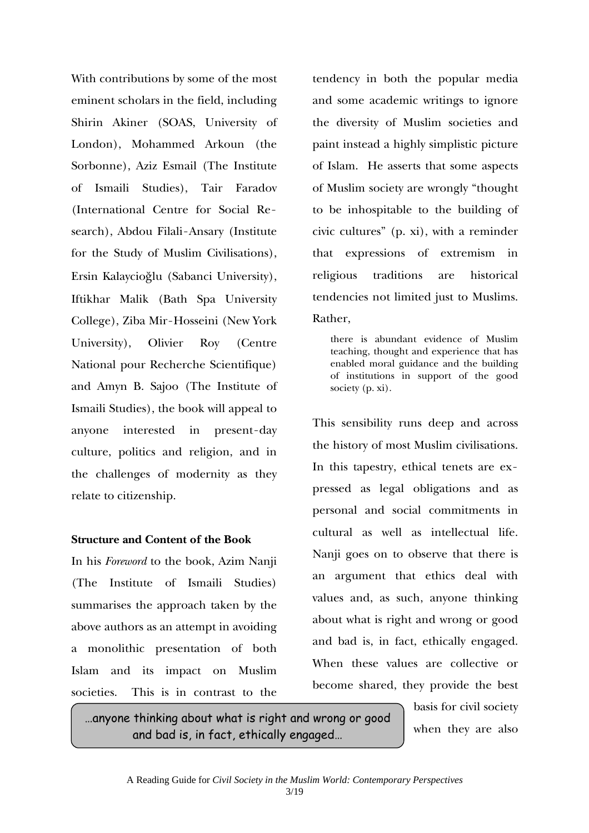With contributions by some of the most eminent scholars in the field, including Shirin Akiner (SOAS, University of London), Mohammed Arkoun (the Sorbonne), Aziz Esmail (The Institute of Ismaili Studies), Tair Faradov (International Centre for Social Research), Abdou Filali-Ansary (Institute for the Study of Muslim Civilisations), Ersin Kalaycioğlu (Sabanci University), Iftikhar Malik (Bath Spa University College), Ziba Mir-Hosseini (New York University), Olivier Roy (Centre National pour Recherche Scientifique) and Amyn B. Sajoo (The Institute of Ismaili Studies), the book will appeal to anyone interested in present-day culture, politics and religion, and in the challenges of modernity as they relate to citizenship.

#### **Structure and Content of the Book**

In his *Foreword* to the book, Azim Nanji (The Institute of Ismaili Studies) summarises the approach taken by the above authors as an attempt in avoiding a monolithic presentation of both Islam and its impact on Muslim societies. This is in contrast to the

tendency in both the popular media and some academic writings to ignore the diversity of Muslim societies and paint instead a highly simplistic picture of Islam. He asserts that some aspects of Muslim society are wrongly "thought to be inhospitable to the building of civic cultures" (p. xi), with a reminder that expressions of extremism in religious traditions are historical tendencies not limited just to Muslims. Rather,

there is abundant evidence of Muslim teaching, thought and experience that has enabled moral guidance and the building of institutions in support of the good society (p. xi).

This sensibility runs deep and across the history of most Muslim civilisations. In this tapestry, ethical tenets are expressed as legal obligations and as personal and social commitments in cultural as well as intellectual life. Nanji goes on to observe that there is an argument that ethics deal with values and, as such, anyone thinking about what is right and wrong or good and bad is, in fact, ethically engaged. When these values are collective or become shared, they provide the best

…anyone thinking about what is right and wrong or good and bad is, in fact, ethically engaged…

basis for civil society when they are also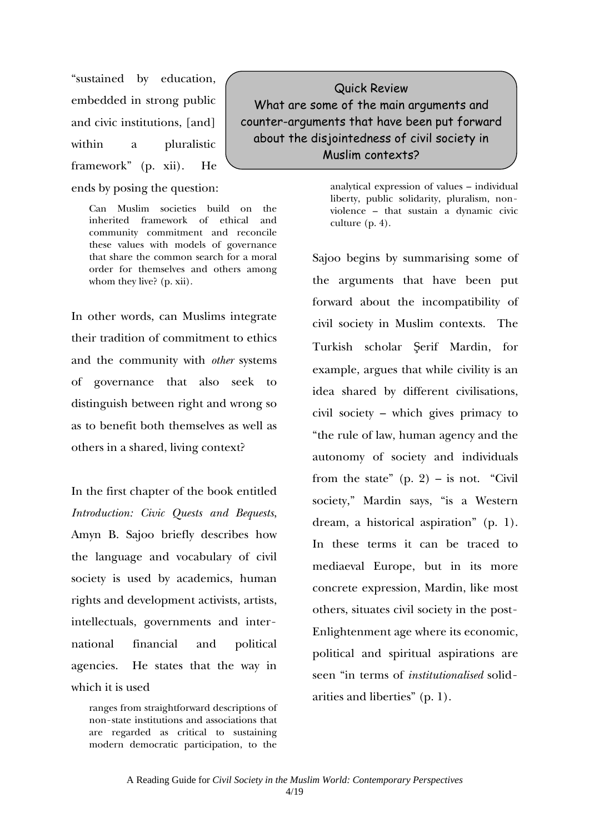"sustained by education, embedded in strong public and civic institutions, [and] within a pluralistic framework" (p. xii). He ends by posing the question:

> Can Muslim societies build on the inherited framework of ethical and community commitment and reconcile these values with models of governance that share the common search for a moral order for themselves and others among whom they live? (p. xii).

In other words, can Muslims integrate their tradition of commitment to ethics and the community with *other* systems of governance that also seek to distinguish between right and wrong so as to benefit both themselves as well as others in a shared, living context?

In the first chapter of the book entitled *Introduction: Civic Quests and Bequests*, Amyn B. Sajoo briefly describes how the language and vocabulary of civil society is used by academics, human rights and development activists, artists, intellectuals, governments and international financial and political agencies. He states that the way in which it is used

ranges from straightforward descriptions of non-state institutions and associations that are regarded as critical to sustaining modern democratic participation, to the

Quick Review What are some of the main arguments and counter-arguments that have been put forward about the disjointedness of civil society in Muslim contexts?

> analytical expression of values – individual liberty, public solidarity, pluralism, nonviolence – that sustain a dynamic civic culture (p. 4).

Sajoo begins by summarising some of the arguments that have been put forward about the incompatibility of civil society in Muslim contexts. The Turkish scholar Şerif Mardin, for example, argues that while civility is an idea shared by different civilisations, civil society – which gives primacy to "the rule of law, human agency and the autonomy of society and individuals from the state"  $(p, 2)$  – is not. "Civil" society," Mardin says, "is a Western dream, a historical aspiration" (p. 1). In these terms it can be traced to mediaeval Europe, but in its more concrete expression, Mardin, like most others, situates civil society in the post-Enlightenment age where its economic, political and spiritual aspirations are seen "in terms of *institutionalised* solidarities and liberties" (p. 1).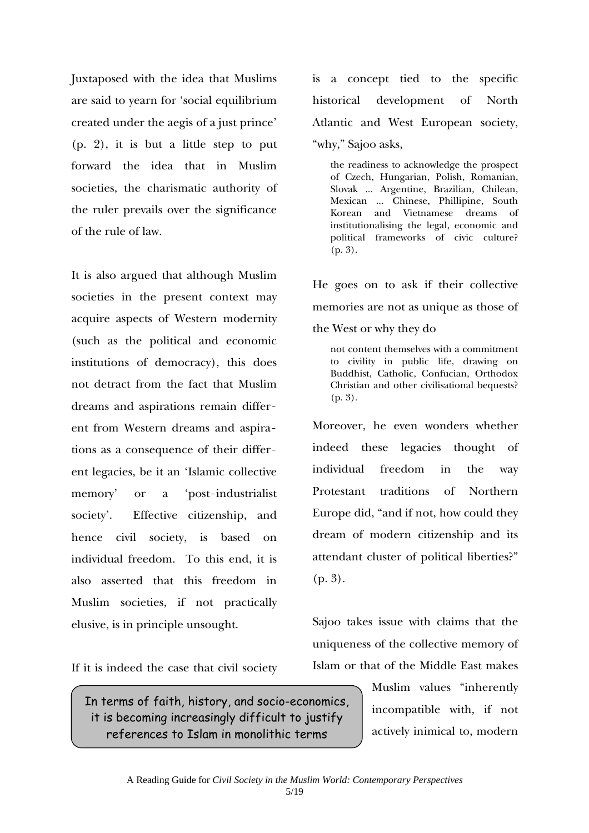Juxtaposed with the idea that Muslims are said to yearn for 'social equilibrium created under the aegis of a just prince' (p. 2), it is but a little step to put forward the idea that in Muslim societies, the charismatic authority of the ruler prevails over the significance of the rule of law.

It is also argued that although Muslim societies in the present context may acquire aspects of Western modernity (such as the political and economic institutions of democracy), this does not detract from the fact that Muslim dreams and aspirations remain different from Western dreams and aspirations as a consequence of their different legacies, be it an 'Islamic collective memory' or a 'post-industrialist society'. Effective citizenship, and hence civil society, is based on individual freedom. To this end, it is also asserted that this freedom in Muslim societies, if not practically elusive, is in principle unsought.

If it is indeed the case that civil society

In terms of faith, history, and socio-economics, it is becoming increasingly difficult to justify references to Islam in monolithic terms

is a concept tied to the specific historical development of North Atlantic and West European society, "why," Sajoo asks,

the readiness to acknowledge the prospect of Czech, Hungarian, Polish, Romanian, Slovak ... Argentine, Brazilian, Chilean, Mexican ... Chinese, Phillipine, South Korean and Vietnamese dreams of institutionalising the legal, economic and political frameworks of civic culture? (p. 3).

He goes on to ask if their collective memories are not as unique as those of the West or why they do

not content themselves with a commitment to civility in public life, drawing on Buddhist, Catholic, Confucian, Orthodox Christian and other civilisational bequests? (p. 3).

Moreover, he even wonders whether indeed these legacies thought of individual freedom in the way Protestant traditions of Northern Europe did, "and if not, how could they dream of modern citizenship and its attendant cluster of political liberties?" (p. 3).

Sajoo takes issue with claims that the uniqueness of the collective memory of Islam or that of the Middle East makes

> Muslim values "inherently incompatible with, if not actively inimical to, modern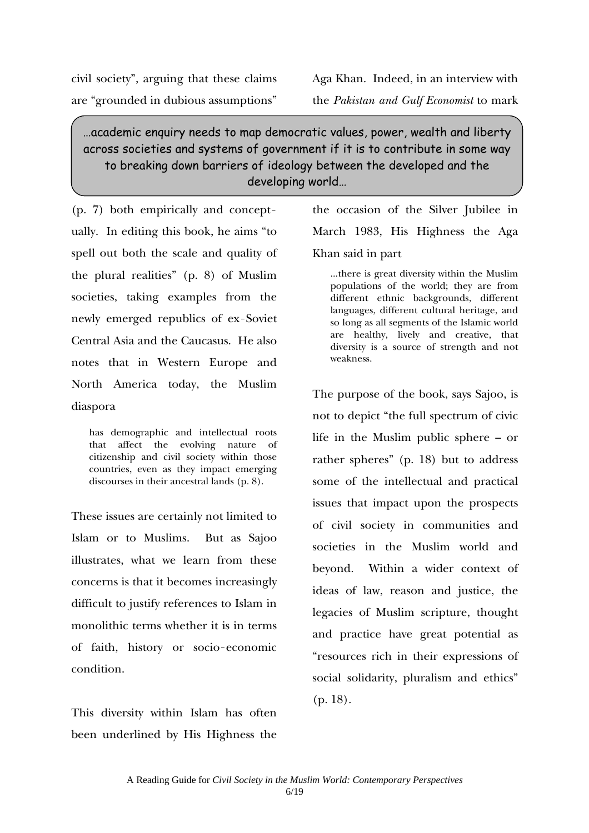civil society", arguing that these claims are "grounded in dubious assumptions"

Aga Khan. Indeed, in an interview with

the *Pakistan and Gulf Economist* to mark

## …academic enquiry needs to map democratic values, power, wealth and liberty across societies and systems of government if it is to contribute in some way to breaking down barriers of ideology between the developed and the developing world…

(p. 7) both empirically and conceptually. In editing this book, he aims "to spell out both the scale and quality of the plural realities" (p. 8) of Muslim societies, taking examples from the newly emerged republics of ex-Soviet Central Asia and the Caucasus. He also notes that in Western Europe and North America today, the Muslim diaspora

has demographic and intellectual roots that affect the evolving nature of citizenship and civil society within those countries, even as they impact emerging discourses in their ancestral lands (p. 8).

These issues are certainly not limited to Islam or to Muslims. But as Sajoo illustrates, what we learn from these concerns is that it becomes increasingly difficult to justify references to Islam in monolithic terms whether it is in terms of faith, history or socio-economic condition.

This diversity within Islam has often been underlined by His Highness the the occasion of the Silver Jubilee in March 1983, His Highness the Aga Khan said in part

...there is great diversity within the Muslim populations of the world; they are from different ethnic backgrounds, different languages, different cultural heritage, and so long as all segments of the Islamic world are healthy, lively and creative, that diversity is a source of strength and not weakness.

The purpose of the book, says Sajoo, is not to depict "the full spectrum of civic life in the Muslim public sphere – or rather spheres" (p. 18) but to address some of the intellectual and practical issues that impact upon the prospects of civil society in communities and societies in the Muslim world and beyond. Within a wider context of ideas of law, reason and justice, the legacies of Muslim scripture, thought and practice have great potential as "resources rich in their expressions of social solidarity, pluralism and ethics" (p. 18).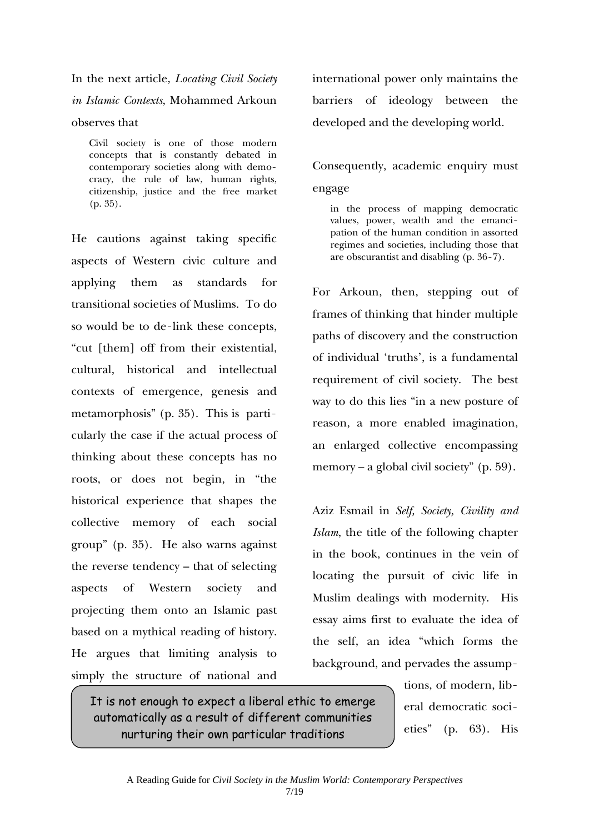In the next article, *Locating Civil Society in Islamic Contexts*, Mohammed Arkoun observes that

Civil society is one of those modern concepts that is constantly debated in contemporary societies along with democracy, the rule of law, human rights, citizenship, justice and the free market (p. 35).

He cautions against taking specific aspects of Western civic culture and applying them as standards for transitional societies of Muslims. To do so would be to de-link these concepts, "cut [them] off from their existential, cultural, historical and intellectual contexts of emergence, genesis and metamorphosis" (p. 35). This is particularly the case if the actual process of thinking about these concepts has no roots, or does not begin, in "the historical experience that shapes the collective memory of each social group" (p. 35). He also warns against the reverse tendency – that of selecting aspects of Western society and projecting them onto an Islamic past based on a mythical reading of history. He argues that limiting analysis to simply the structure of national and

international power only maintains the barriers of ideology between the developed and the developing world.

Consequently, academic enquiry must engage

in the process of mapping democratic values, power, wealth and the emancipation of the human condition in assorted regimes and societies, including those that are obscurantist and disabling (p. 36-7).

For Arkoun, then, stepping out of frames of thinking that hinder multiple paths of discovery and the construction of individual 'truths', is a fundamental requirement of civil society. The best way to do this lies "in a new posture of reason, a more enabled imagination, an enlarged collective encompassing memory – a global civil society" (p. 59).

Aziz Esmail in *Self, Society, Civility and Islam*, the title of the following chapter in the book, continues in the vein of locating the pursuit of civic life in Muslim dealings with modernity. His essay aims first to evaluate the idea of the self, an idea "which forms the background, and pervades the assump-

> tions, of modern, liberal democratic societies" (p. 63). His

It is not enough to expect a liberal ethic to emerge automatically as a result of different communities nurturing their own particular traditions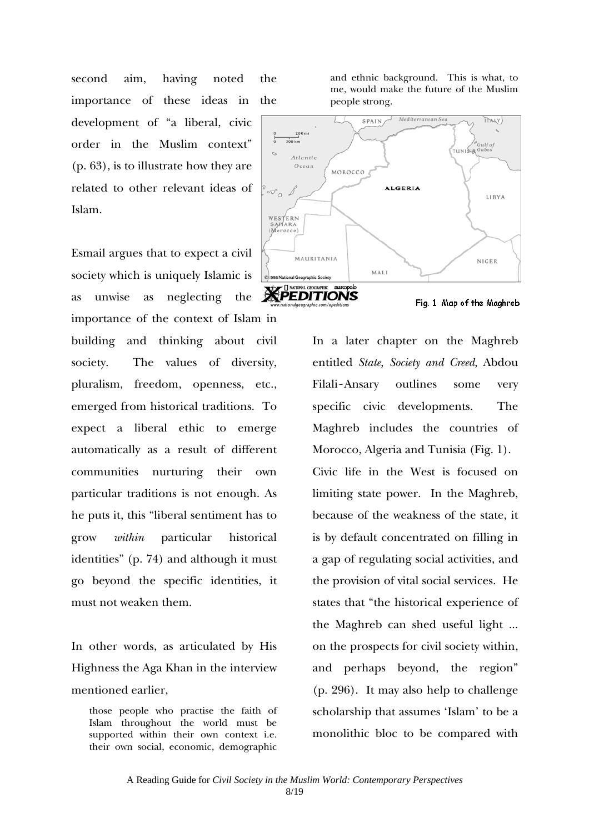second aim, having noted the importance of these ideas in the development of "a liberal, civic order in the Muslim context" (p. 63), is to illustrate how they are related to other relevant ideas of Islam.

Esmail argues that to expect a civil society which is uniquely Islamic is as unwise as neglecting the importance of the context of Islam in building and thinking about civil society. The values of diversity, pluralism, freedom, openness, etc., emerged from historical traditions. To expect a liberal ethic to emerge automatically as a result of different communities nurturing their own particular traditions is not enough. As he puts it, this "liberal sentiment has to grow *within* particular historical identities" (p. 74) and although it must go beyond the specific identities, it must not weaken them.

In other words, as articulated by His Highness the Aga Khan in the interview mentioned earlier,

those people who practise the faith of Islam throughout the world must be supported within their own context i.e. their own social, economic, demographic and ethnic background. This is what, to me, would make the future of the Muslim people strong.



In a later chapter on the Maghreb entitled *State, Society and Creed*, Abdou Filali-Ansary outlines some very specific civic developments. The Maghreb includes the countries of Morocco, Algeria and Tunisia (Fig. 1). Civic life in the West is focused on limiting state power. In the Maghreb, because of the weakness of the state, it is by default concentrated on filling in a gap of regulating social activities, and the provision of vital social services. He states that "the historical experience of the Maghreb can shed useful light ... on the prospects for civil society within, and perhaps beyond, the region" (p. 296). It may also help to challenge scholarship that assumes 'Islam' to be a monolithic bloc to be compared with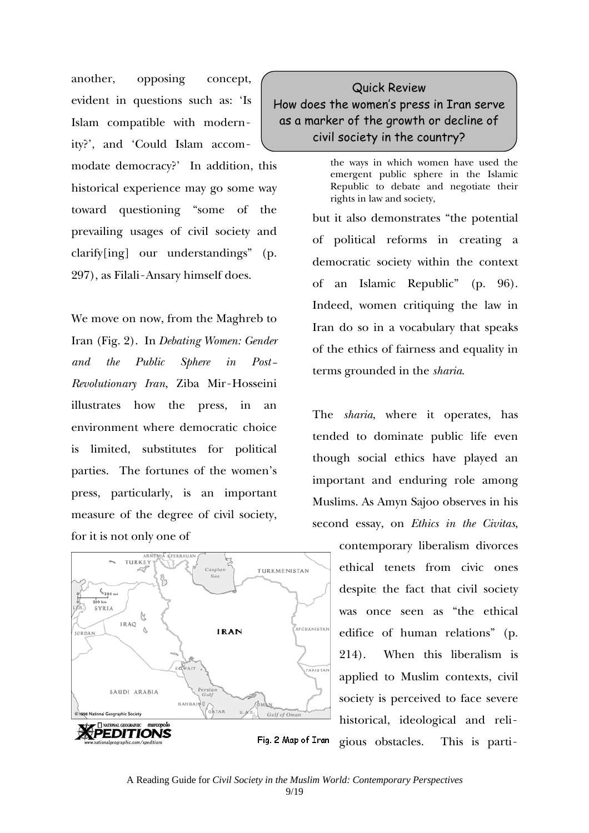another, opposing concept, evident in questions such as: 'Is Islam compatible with modernity?', and 'Could Islam accommodate democracy?' In addition, this historical experience may go some way toward questioning "some of the prevailing usages of civil society and clarify[ing] our understandings" (p. 297), as Filali-Ansary himself does.

We move on now, from the Maghreb to Iran (Fig. 2). In *Debating Women: Gender and the Public Sphere in Post-Revolutionary Iran*, Ziba Mir-Hosseini illustrates how the press, in an environment where democratic choice is limited, substitutes for political parties. The fortunes of the women's press, particularly, is an important measure of the degree of civil society, for it is not only one of



## Quick Review How does the women's press in Iran serve as a marker of the growth or decline of civil society in the country?

the ways in which women have used the emergent public sphere in the Islamic Republic to debate and negotiate their rights in law and society,

but it also demonstrates "the potential of political reforms in creating a democratic society within the context of an Islamic Republic" (p. 96). Indeed, women critiquing the law in Iran do so in a vocabulary that speaks of the ethics of fairness and equality in terms grounded in the *sharia*.

The *sharia*, where it operates, has tended to dominate public life even though social ethics have played an important and enduring role among Muslims. As Amyn Sajoo observes in his second essay, on *Ethics in the Civitas*,

> contemporary liberalism divorces ethical tenets from civic ones despite the fact that civil society was once seen as "the ethical edifice of human relations" (p. 214). When this liberalism is applied to Muslim contexts, civil society is perceived to face severe historical, ideological and religious obstacles. This is parti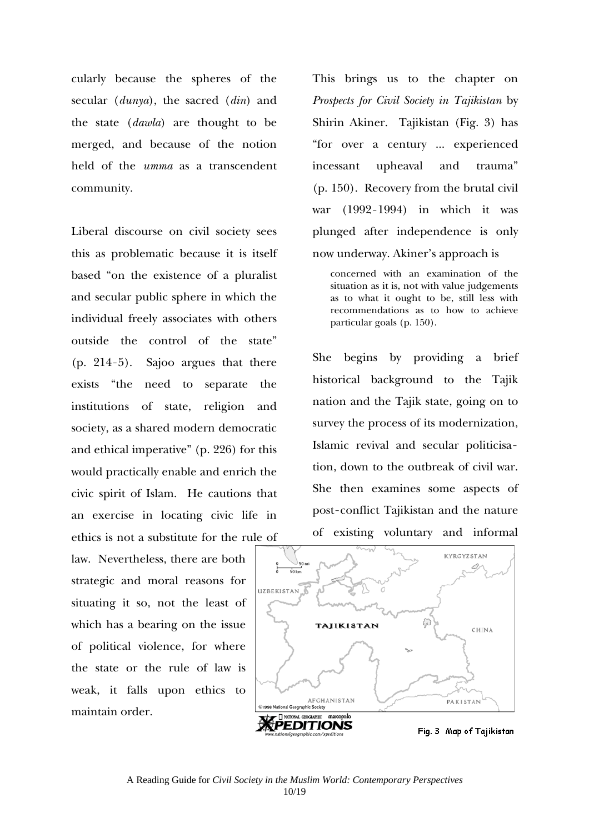cularly because the spheres of the secular (*dunya*), the sacred (*din*) and the state (*dawla*) are thought to be merged, and because of the notion held of the *umma* as a transcendent community.

Liberal discourse on civil society sees this as problematic because it is itself based "on the existence of a pluralist and secular public sphere in which the individual freely associates with others outside the control of the state" (p. 214-5). Sajoo argues that there exists "the need to separate the institutions of state, religion and society, as a shared modern democratic and ethical imperative" (p. 226) for this would practically enable and enrich the civic spirit of Islam. He cautions that an exercise in locating civic life in ethics is not a substitute for the rule of

law. Nevertheless, there are both strategic and moral reasons for situating it so, not the least of which has a bearing on the issue of political violence, for where the state or the rule of law is weak, it falls upon ethics to maintain order.

This brings us to the chapter on *Prospects for Civil Society in Tajikistan* by Shirin Akiner. Tajikistan (Fig. 3) has "for over a century ... experienced incessant upheaval and trauma" (p. 150). Recovery from the brutal civil war (1992-1994) in which it was plunged after independence is only now underway. Akiner's approach is

concerned with an examination of the situation as it is, not with value judgements as to what it ought to be, still less with recommendations as to how to achieve particular goals (p. 150).

She begins by providing a brief historical background to the Tajik nation and the Tajik state, going on to survey the process of its modernization, Islamic revival and secular politicisation, down to the outbreak of civil war. She then examines some aspects of post-conflict Tajikistan and the nature of existing voluntary and informal

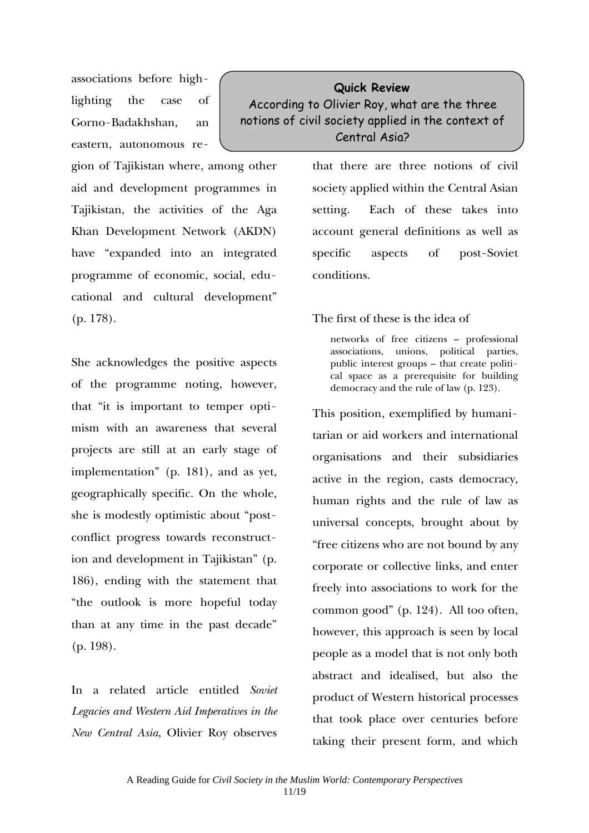associations before highlighting the case of Gorno-Badakhshan, an eastern, autonomous re-

gion of Tajikistan where, among other aid and development programmes in Tajikistan, the activities of the Aga Khan Development Network (AKDN) have "expanded into an integrated programme of economic, social, educational and cultural development" (p. 178).

She acknowledges the positive aspects of the programme noting, however, that "it is important to temper optimism with an awareness that several projects are still at an early stage of implementation" (p. 181), and as yet, geographically specific. On the whole, she is modestly optimistic about "postconflict progress towards reconstruction and development in Tajikistan" (p. 186), ending with the statement that "the outlook is more hopeful today than at any time in the past decade" (p. 198).

In a related article entitled *Soviet Legacies and Western Aid Imperatives in the New Central Asia*, Olivier Roy observes

## **Quick Review**  According to Olivier Roy, what are the three notions of civil society applied in the context of Central Asia?

that there are three notions of civil society applied within the Central Asian setting. Each of these takes into account general definitions as well as specific aspects of post-Soviet conditions.

#### The first of these is the idea of

networks of free citizens – professional associations, unions, political parties, public interest groups – that create political space as a prerequisite for building democracy and the rule of law (p. 123).

This position, exemplified by humanitarian or aid workers and international organisations and their subsidiaries active in the region, casts democracy, human rights and the rule of law as universal concepts, brought about by "free citizens who are not bound by any corporate or collective links, and enter freely into associations to work for the common good" (p. 124). All too often, however, this approach is seen by local people as a model that is not only both abstract and idealised, but also the product of Western historical processes that took place over centuries before taking their present form, and which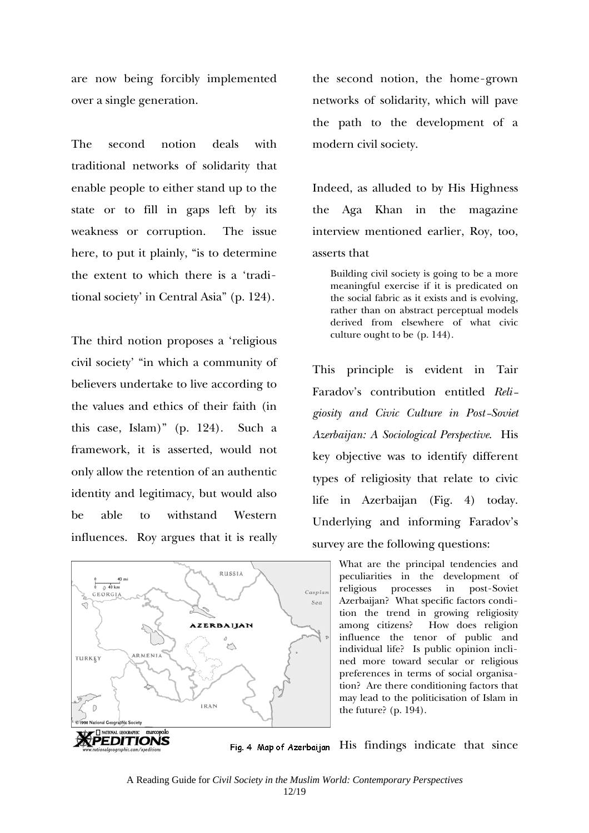are now being forcibly implemented over a single generation.

The second notion deals with traditional networks of solidarity that enable people to either stand up to the state or to fill in gaps left by its weakness or corruption. The issue here, to put it plainly, "is to determine the extent to which there is a 'traditional society' in Central Asia" (p. 124).

The third notion proposes a 'religious civil society' "in which a community of believers undertake to live according to the values and ethics of their faith (in this case, Islam)" (p. 124). Such a framework, it is asserted, would not only allow the retention of an authentic identity and legitimacy, but would also be able to withstand Western influences. Roy argues that it is really



the second notion, the home-grown networks of solidarity, which will pave the path to the development of a modern civil society.

Indeed, as alluded to by His Highness the Aga Khan in the magazine interview mentioned earlier, Roy, too, asserts that

Building civil society is going to be a more meaningful exercise if it is predicated on the social fabric as it exists and is evolving, rather than on abstract perceptual models derived from elsewhere of what civic culture ought to be (p. 144).

This principle is evident in Tair Faradov's contribution entitled *Religiosity and Civic Culture in Post-Soviet Azerbaijan: A Sociological Perspective*. His key objective was to identify different types of religiosity that relate to civic life in Azerbaijan (Fig. 4) today. Underlying and informing Faradov's survey are the following questions:

> What are the principal tendencies and peculiarities in the development of religious processes in post-Soviet Azerbaijan? What specific factors condition the trend in growing religiosity among citizens? How does religion influence the tenor of public and individual life? Is public opinion inclined more toward secular or religious preferences in terms of social organisation? Are there conditioning factors that may lead to the politicisation of Islam in the future? (p. 194).

Fig. 4 Map of Azerbaijan His findings indicate that since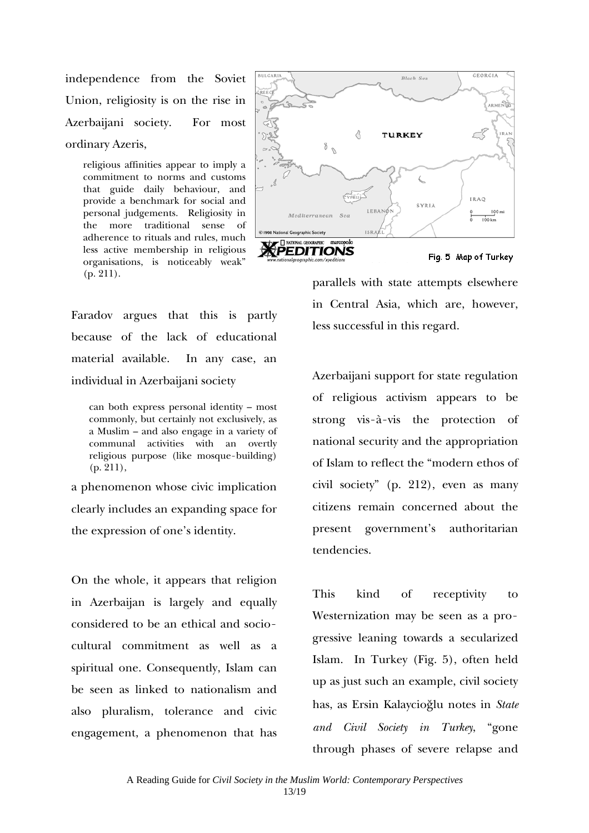independence from the Soviet Union, religiosity is on the rise in Azerbaijani society. For most ordinary Azeris,

religious affinities appear to imply a commitment to norms and customs that guide daily behaviour, and provide a benchmark for social and personal judgements. Religiosity in the more traditional sense of adherence to rituals and rules, much less active membership in religious organisations, is noticeably weak" (p. 211).



Faradov argues that this is partly because of the lack of educational material available. In any case, an individual in Azerbaijani society

can both express personal identity – most commonly, but certainly not exclusively, as a Muslim – and also engage in a variety of communal activities with an overtly religious purpose (like mosque-building) (p. 211),

a phenomenon whose civic implication clearly includes an expanding space for the expression of one's identity.

On the whole, it appears that religion in Azerbaijan is largely and equally considered to be an ethical and sociocultural commitment as well as a spiritual one. Consequently, Islam can be seen as linked to nationalism and also pluralism, tolerance and civic engagement, a phenomenon that has

parallels with state attempts elsewhere in Central Asia, which are, however, less successful in this regard.

Azerbaijani support for state regulation of religious activism appears to be strong vis-à-vis the protection of national security and the appropriation of Islam to reflect the "modern ethos of civil society" (p. 212), even as many citizens remain concerned about the present government's authoritarian tendencies.

This kind of receptivity to Westernization may be seen as a progressive leaning towards a secularized Islam. In Turkey (Fig. 5), often held up as just such an example, civil society has, as Ersin Kalaycioğlu notes in *State and Civil Society in Turkey*, "gone through phases of severe relapse and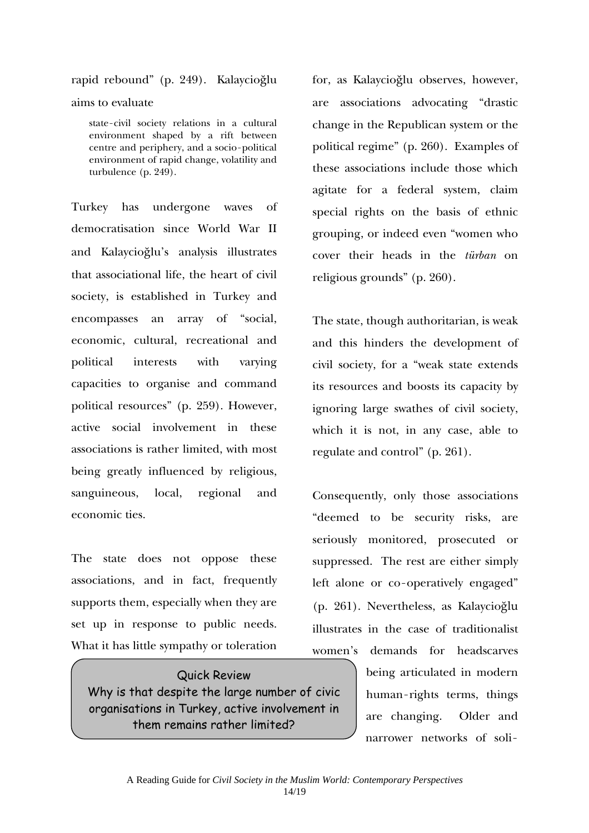rapid rebound" (p. 249). Kalaycioğlu

aims to evaluate

state-civil society relations in a cultural environment shaped by a rift between centre and periphery, and a socio-political environment of rapid change, volatility and turbulence (p. 249).

Turkey has undergone waves of democratisation since World War II and Kalaycioğlu's analysis illustrates that associational life, the heart of civil society, is established in Turkey and encompasses an array of "social, economic, cultural, recreational and political interests with varying capacities to organise and command political resources" (p. 259). However, active social involvement in these associations is rather limited, with most being greatly influenced by religious, sanguineous, local, regional and economic ties.

The state does not oppose these associations, and in fact, frequently supports them, especially when they are set up in response to public needs. What it has little sympathy or toleration

Quick Review Why is that despite the large number of civic organisations in Turkey, active involvement in them remains rather limited?

for, as Kalaycioğlu observes, however, are associations advocating "drastic change in the Republican system or the political regime" (p. 260). Examples of these associations include those which agitate for a federal system, claim special rights on the basis of ethnic grouping, or indeed even "women who cover their heads in the *türban* on religious grounds" (p. 260).

The state, though authoritarian, is weak and this hinders the development of civil society, for a "weak state extends its resources and boosts its capacity by ignoring large swathes of civil society, which it is not, in any case, able to regulate and control" (p. 261).

Consequently, only those associations "deemed to be security risks, are seriously monitored, prosecuted or suppressed. The rest are either simply left alone or co-operatively engaged" (p. 261). Nevertheless, as Kalaycioğlu illustrates in the case of traditionalist women's demands for headscarves

> being articulated in modern human-rights terms, things are changing. Older and narrower networks of soli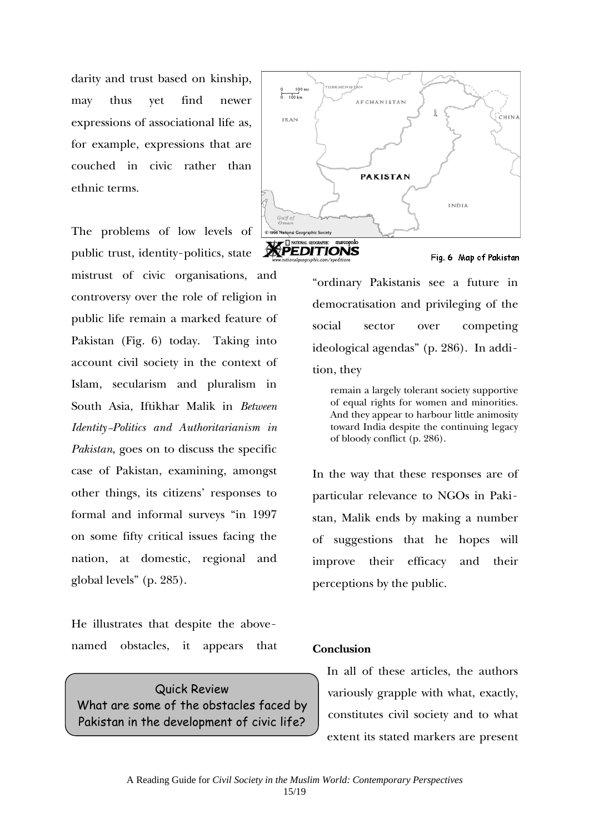darity and trust based on kinship, may thus yet find newer expressions of associational life as, for example, expressions that are couched in civic rather than ethnic terms.

The problems of low levels of public trust, identity-politics, state mistrust of civic organisations, and controversy over the role of religion in public life remain a marked feature of Pakistan (Fig. 6) today. Taking into account civil society in the context of Islam, secularism and pluralism in South Asia, Iftikhar Malik in *Between Identity-Politics and Authoritarianism in Pakistan*, goes on to discuss the specific case of Pakistan, examining, amongst other things, its citizens' responses to formal and informal surveys "in 1997 on some fifty critical issues facing the nation, at domestic, regional and global levels" (p. 285).

He illustrates that despite the abovenamed obstacles, it appears that

Quick Review What are some of the obstacles faced by Pakistan in the development of civic life?





"ordinary Pakistanis see a future in democratisation and privileging of the social sector over competing ideological agendas" (p. 286). In addition, they

remain a largely tolerant society supportive of equal rights for women and minorities. And they appear to harbour little animosity toward India despite the continuing legacy of bloody conflict (p. 286).

In the way that these responses are of particular relevance to NGOs in Pakistan, Malik ends by making a number of suggestions that he hopes will improve their efficacy and their perceptions by the public.

#### **Conclusion**

In all of these articles, the authors variously grapple with what, exactly, constitutes civil society and to what extent its stated markers are present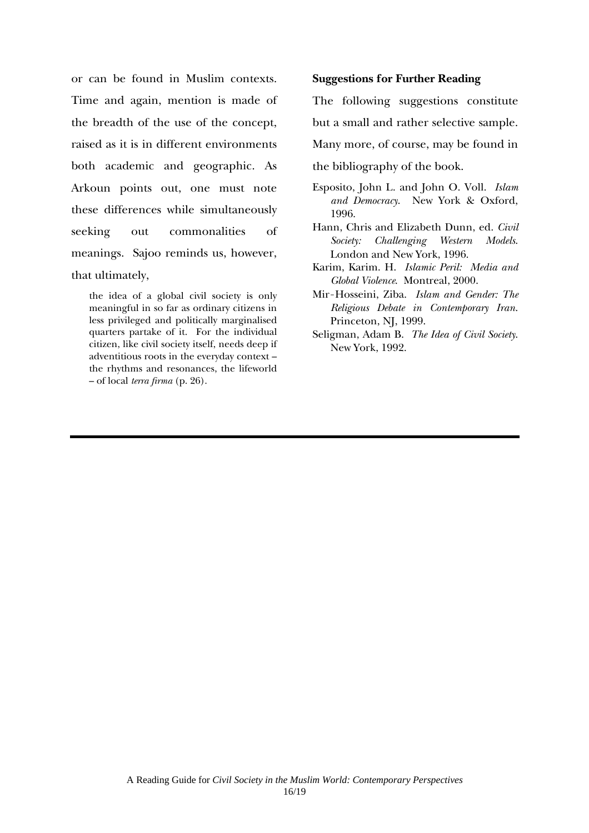or can be found in Muslim contexts. Time and again, mention is made of the breadth of the use of the concept, raised as it is in different environments both academic and geographic. As Arkoun points out, one must note these differences while simultaneously seeking out commonalities of meanings. Sajoo reminds us, however, that ultimately,

the idea of a global civil society is only meaningful in so far as ordinary citizens in less privileged and politically marginalised quarters partake of it. For the individual citizen, like civil society itself, needs deep if adventitious roots in the everyday context – the rhythms and resonances, the lifeworld – of local *terra firma* (p. 26).

#### **Suggestions for Further Reading**

The following suggestions constitute but a small and rather selective sample. Many more, of course, may be found in

- the bibliography of the book.
- Esposito, John L. and John O. Voll. *Islam and Democracy*. New York & Oxford, 1996.
- Hann, Chris and Elizabeth Dunn, ed. *Civil Society: Challenging Western Models*. London and New York, 1996.
- Karim, Karim. H. *Islamic Peril: Media and Global Violence*. Montreal, 2000.
- Mir-Hosseini, Ziba. *Islam and Gender: The Religious Debate in Contemporary Iran*. Princeton, NJ, 1999.
- Seligman, Adam B. *The Idea of Civil Society*. New York, 1992.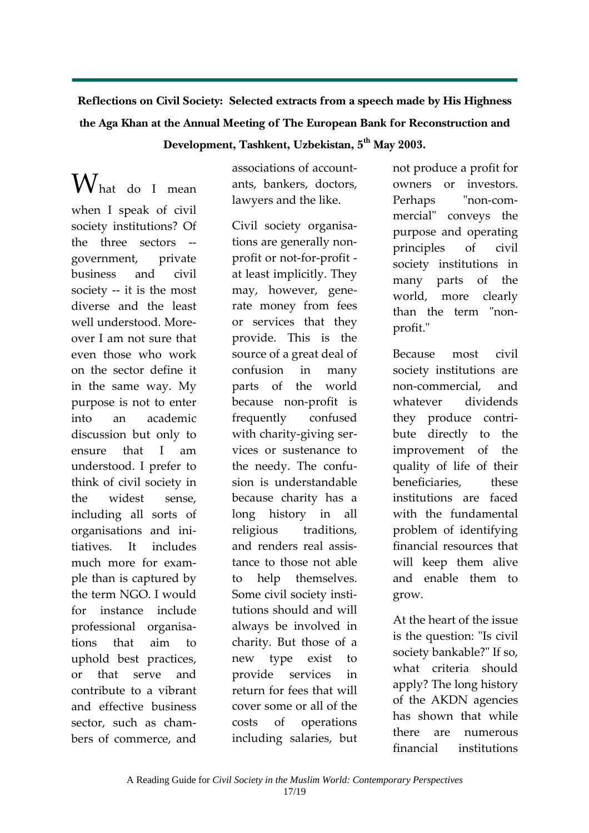# **Reflections on Civil Society: Selected extracts from a speech made by His Highness the Aga Khan at the Annual Meeting of The European Bank for Reconstruction and**

## **Development, Tashkent, Uzbekistan, 5th May 2003.**

What do <sup>I</sup> mean when I speak of civil society institutions? Of the three sectors -government, private business and civil society -- it is the most diverse and the least well understood. Moreover I am not sure that even those who work on the sector define it in the same way. My purpose is not to enter into an academic discussion but only to ensure that I am understood. I prefer to think of civil society in the widest sense, including all sorts of organisations and ini‐ tiatives. It includes much more for exam‐ ple than is captured by the term NGO. I would for instance include professional organisa‐ tions that aim to uphold best practices, or that serve and contribute to a vibrant and effective business sector, such as chambers of commerce, and

associations of account‐ ants, bankers, doctors, lawyers and the like.

Civil society organisa‐ tions are generally non‐ profit or not‐for‐profit ‐ at least implicitly. They may, however, gene‐ rate money from fees or services that they provide. This is the source of a great deal of confusion in many parts of the world because non‐profit is frequently confused with charity-giving services or sustenance to the needy. The confu‐ sion is understandable because charity has a long history in all religious traditions, and renders real assis‐ tance to those not able to help themselves. Some civil society insti‐ tutions should and will always be involved in charity. But those of a new type exist to provide services in return for fees that will cover some or all of the costs of operations including salaries, but not produce a profit for owners or investors. Perhaps "non-commercial" conveys the purpose and operating principles of civil society institutions in many parts of the world, more clearly than the term "nonprofit."

Because most civil society institutions are non‐commercial, and whatever dividends they produce contri‐ bute directly to the improvement of the quality of life of their beneficiaries, these institutions are faced with the fundamental problem of identifying financial resources that will keep them alive and enable them to grow.

At the heart of the issue is the question: "Is civil society bankable?" If so, what criteria should apply? The long history of the AKDN agencies has shown that while there are numerous financial institutions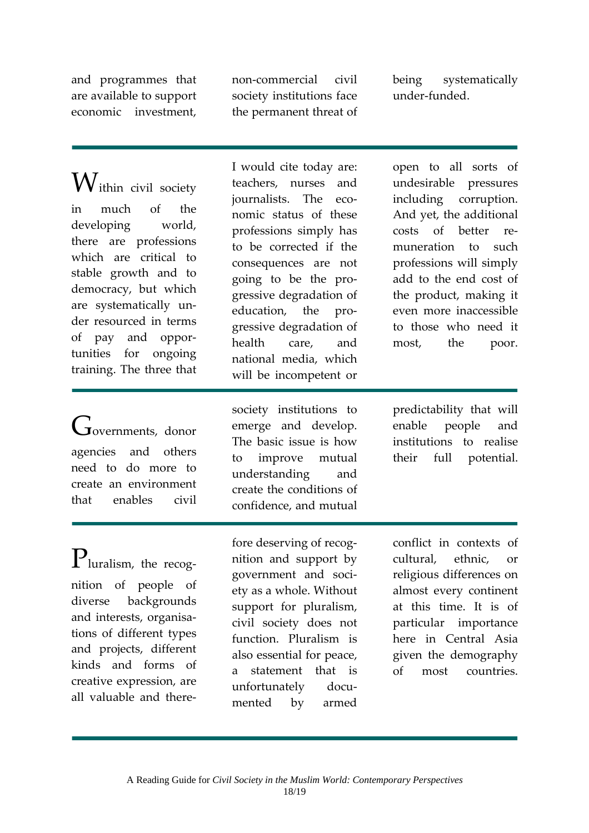and programmes that are available to support economic investment,

non‐commercial civil society institutions face the permanent threat of being systematically under‐funded.

Within civil society in much of the developing world, there are professions which are critical to stable growth and to democracy, but which are systematically un‐ der resourced in terms of pay and oppor‐ tunities for ongoing training. The three that

 $G$ overnments, donor agencies and others need to do more to create an environment that enables civil

I would cite today are: teachers, nurses and journalists. The economic status of these professions simply has to be corrected if the consequences are not going to be the pro‐ gressive degradation of education, the progressive degradation of health care, and national media, which will be incompetent or

society institutions to emerge and develop. The basic issue is how to improve mutual understanding and create the conditions of confidence, and mutual

open to all sorts of undesirable pressures including corruption. And yet, the additional costs of better remuneration to such professions will simply add to the end cost of the product, making it even more inaccessible to those who need it most, the poor.

predictability that will enable people and institutions to realise their full potential.

Pluralism, the recognition of people of diverse backgrounds and interests, organisa‐ tions of different types and projects, different kinds and forms of creative expression, are all valuable and there‐

fore deserving of recog‐ nition and support by government and soci‐ ety as a whole. Without support for pluralism, civil society does not function. Pluralism is also essential for peace, a statement that is unfortunately documented by armed

conflict in contexts of cultural, ethnic, or religious differences on almost every continent at this time. It is of particular importance here in Central Asia given the demography of most countries.